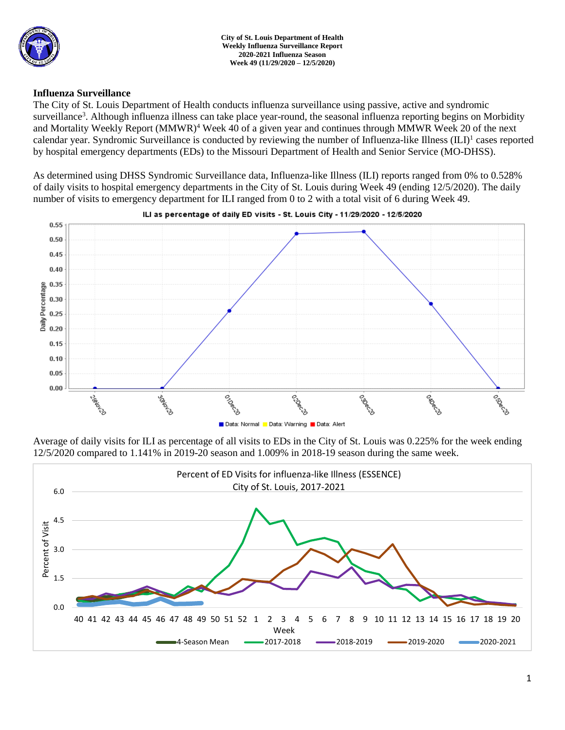

## **Influenza Surveillance**

The City of St. Louis Department of Health conducts influenza surveillance using passive, active and syndromic surveillance<sup>3</sup>. Although influenza illness can take place year-round, the seasonal influenza reporting begins on Morbidity and Mortality Weekly Report (MMWR)<sup>4</sup> Week 40 of a given year and continues through MMWR Week 20 of the next calendar year. Syndromic Surveillance is conducted by reviewing the number of Influenza-like Illness (ILI)<sup>1</sup> cases reported by hospital emergency departments (EDs) to the Missouri Department of Health and Senior Service (MO-DHSS).

As determined using DHSS Syndromic Surveillance data, Influenza-like Illness (ILI) reports ranged from 0% to 0.528% of daily visits to hospital emergency departments in the City of St. Louis during Week 49 (ending 12/5/2020). The daily number of visits to emergency department for ILI ranged from 0 to 2 with a total visit of 6 during Week 49.



ILI as percentage of daily ED visits - St. Louis City - 11/29/2020 - 12/5/2020

Average of daily visits for ILI as percentage of all visits to EDs in the City of St. Louis was 0.225% for the week ending 12/5/2020 compared to 1.141% in 2019-20 season and 1.009% in 2018-19 season during the same week.

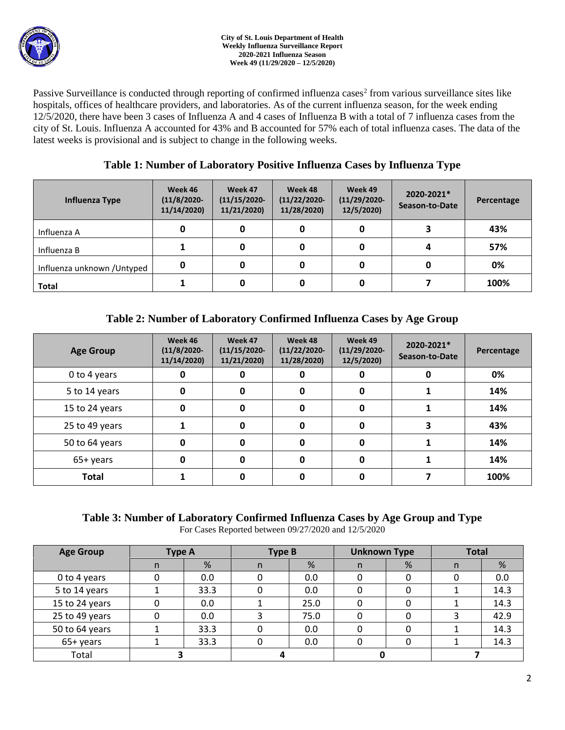

Passive Surveillance is conducted through reporting of confirmed influenza cases<sup>2</sup> from various surveillance sites like hospitals, offices of healthcare providers, and laboratories. As of the current influenza season, for the week ending 12/5/2020, there have been 3 cases of Influenza A and 4 cases of Influenza B with a total of 7 influenza cases from the city of St. Louis. Influenza A accounted for 43% and B accounted for 57% each of total influenza cases. The data of the latest weeks is provisional and is subject to change in the following weeks.

# **Table 1: Number of Laboratory Positive Influenza Cases by Influenza Type**

| Influenza Type              | Week 46<br>$(11/8/2020 -$<br>11/14/2020) | Week 47<br>$(11/15/2020 -$<br>11/21/2020) | Week 48<br>$(11/22/2020 -$<br>11/28/2020) | Week 49<br>$(11/29/2020 -$<br>12/5/2020) | 2020-2021*<br>Season-to-Date | Percentage |
|-----------------------------|------------------------------------------|-------------------------------------------|-------------------------------------------|------------------------------------------|------------------------------|------------|
| Influenza A                 | 0                                        |                                           | 0                                         |                                          |                              | 43%        |
| Influenza B                 |                                          |                                           | 0                                         |                                          |                              | 57%        |
| Influenza unknown / Untyped | 0                                        |                                           | 0                                         |                                          |                              | 0%         |
| <b>Total</b>                |                                          |                                           | 0                                         |                                          |                              | 100%       |

# **Table 2: Number of Laboratory Confirmed Influenza Cases by Age Group**

| <b>Age Group</b> | Week 46<br>$(11/8/2020 -$<br>11/14/2020) | Week 47<br>$(11/15/2020 -$<br>11/21/2020) | Week 48<br>$(11/22/2020 -$<br>11/28/2020) | Week 49<br>$(11/29/2020 -$<br>12/5/2020) | 2020-2021*<br>Season-to-Date | Percentage |
|------------------|------------------------------------------|-------------------------------------------|-------------------------------------------|------------------------------------------|------------------------------|------------|
| 0 to 4 years     | 0                                        | 0                                         | 0                                         | 0                                        | O                            | 0%         |
| 5 to 14 years    | 0                                        | 0                                         | 0                                         | 0                                        |                              | 14%        |
| 15 to 24 years   | 0                                        | 0                                         | 0                                         | 0                                        |                              | 14%        |
| 25 to 49 years   |                                          | 0                                         | 0                                         | 0                                        |                              | 43%        |
| 50 to 64 years   | 0                                        | O                                         | 0                                         | 0                                        |                              | 14%        |
| 65+ years        | 0                                        | O                                         | 0                                         | 0                                        |                              | 14%        |
| <b>Total</b>     |                                          |                                           | 0                                         |                                          |                              | 100%       |

# **Table 3: Number of Laboratory Confirmed Influenza Cases by Age Group and Type**

For Cases Reported between 09/27/2020 and 12/5/2020

| <b>Age Group</b> | <b>Type A</b> |      | <b>Type B</b> |      | <b>Unknown Type</b> |   | <b>Total</b> |      |
|------------------|---------------|------|---------------|------|---------------------|---|--------------|------|
|                  | n             | %    | n             | %    | n                   | % | n            | %    |
| 0 to 4 years     |               | 0.0  |               | 0.0  |                     |   |              | 0.0  |
| 5 to 14 years    |               | 33.3 |               | 0.0  |                     |   |              | 14.3 |
| 15 to 24 years   |               | 0.0  |               | 25.0 |                     |   |              | 14.3 |
| 25 to 49 years   |               | 0.0  |               | 75.0 |                     |   |              | 42.9 |
| 50 to 64 years   |               | 33.3 |               | 0.0  |                     |   |              | 14.3 |
| 65+ years        |               | 33.3 |               | 0.0  |                     |   |              | 14.3 |
| Total            |               |      |               |      |                     |   |              |      |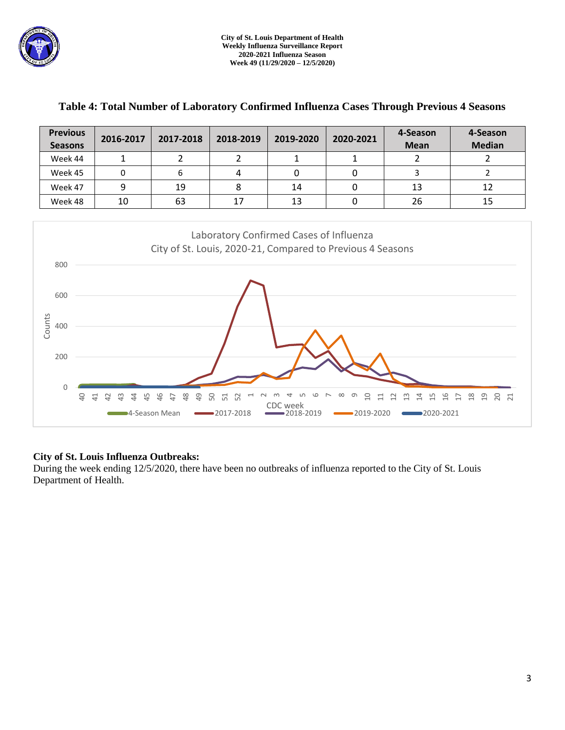

| <b>Previous</b><br><b>Seasons</b> | 2016-2017 | 2017-2018 | 2018-2019 | 2019-2020 | 2020-2021 | 4-Season<br><b>Mean</b> | 4-Season<br><b>Median</b> |
|-----------------------------------|-----------|-----------|-----------|-----------|-----------|-------------------------|---------------------------|
| Week 44                           |           |           |           |           |           |                         |                           |
| Week 45                           |           |           | 4         |           |           |                         |                           |
| Week 47                           | 9         | 19        |           | 14        |           | 13                      | 12                        |
| Week 48                           | 10        | 63        | 17        | 13        |           | 26                      | 15                        |

## **Table 4: Total Number of Laboratory Confirmed Influenza Cases Through Previous 4 Seasons**



### **City of St. Louis Influenza Outbreaks:**

During the week ending 12/5/2020, there have been no outbreaks of influenza reported to the City of St. Louis Department of Health.